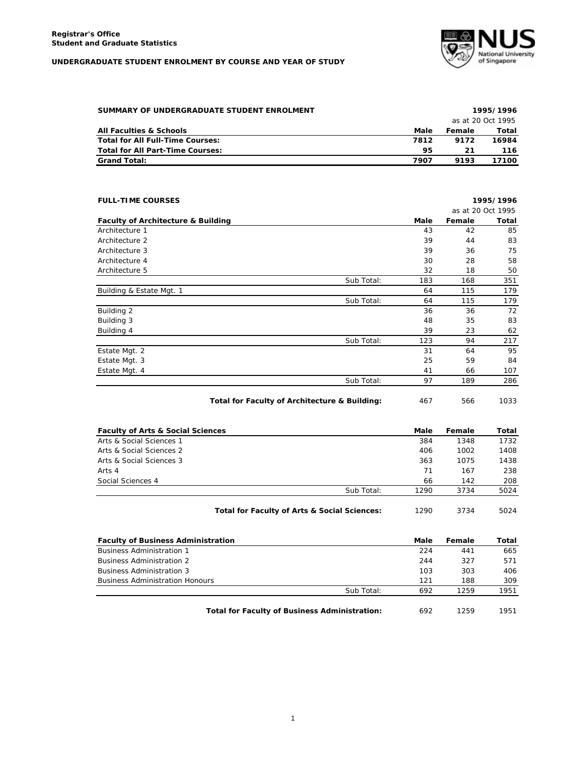## **UNDERGRADUATE STUDENT ENROLMENT BY COURSE AND YEAR OF STUDY**



| SUMMARY OF UNDERGRADUATE STUDENT ENROLMENT |      |        | 1995/1996         |
|--------------------------------------------|------|--------|-------------------|
|                                            |      |        | as at 20 Oct 1995 |
| <b>All Faculties &amp; Schools</b>         | Male | Female | Total             |
| Total for All Full-Time Courses:           | 7812 | 9172   | 16984             |
| Total for All Part-Time Courses:           | 95   | 21     | 116               |
| <b>Grand Total:</b>                        | 7907 | 9193   | 17100             |

| <b>FULL-TIME COURSES</b>                      |            |      |                   | 1995/1996 |
|-----------------------------------------------|------------|------|-------------------|-----------|
|                                               |            |      | as at 20 Oct 1995 |           |
| <b>Faculty of Architecture &amp; Building</b> |            | Male | Female            | Total     |
| Architecture 1                                |            | 43   | 42                | 85        |
| Architecture 2                                |            | 39   | 44                | 83        |
| Architecture 3                                |            | 39   | 36                | 75        |
| Architecture 4                                |            | 30   | 28                | 58        |
| Architecture 5                                |            | 32   | 18                | 50        |
|                                               | Sub Total: | 183  | 168               | 351       |
| Building & Estate Mgt. 1                      |            | 64   | 115               | 179       |
|                                               | Sub Total: | 64   | 115               | 179       |
| Building 2                                    |            | 36   | 36                | 72        |
| Building 3                                    |            | 48   | 35                | 83        |
| Building 4                                    |            | 39   | 23                | 62        |
|                                               | Sub Total: | 123  | 94                | 217       |
| Estate Mgt. 2                                 |            | 31   | 64                | 95        |
| Estate Mgt. 3                                 |            | 25   | 59                | 84        |
| Estate Mgt. 4                                 |            | 41   | 66                | 107       |
|                                               | Sub Total: | 97   | 189               | 286       |

Total for Faculty of Architecture & Building: 467 566 1033

| <b>Faculty of Arts &amp; Social Sciences</b> |                                              | Male | Female | Total |
|----------------------------------------------|----------------------------------------------|------|--------|-------|
| Arts & Social Sciences 1                     |                                              | 384  | 1348   | 1732  |
| Arts & Social Sciences 2                     |                                              | 406  | 1002   | 1408  |
| Arts & Social Sciences 3                     |                                              | 363  | 1075   | 1438  |
| Arts 4                                       |                                              | 71   | 167    | 238   |
| Social Sciences 4                            |                                              | 66   | 142    | 208   |
|                                              | Sub Total:                                   | 1290 | 3734   | 5024  |
|                                              | Total for Faculty of Arts & Social Sciences: | 1290 | 3734   | 5024  |

| <b>Faculty of Business Administration</b>            | Male | Female | Total |
|------------------------------------------------------|------|--------|-------|
| <b>Business Administration 1</b>                     | 224  | 441    | 665   |
| <b>Business Administration 2</b>                     | 244  | 327    | 571   |
| <b>Business Administration 3</b>                     | 103  | 303    | 406   |
| <b>Business Administration Honours</b>               | 121  | 188    | 309   |
| Sub Total:                                           | 692  | 1259   | 1951  |
| <b>Total for Faculty of Business Administration:</b> | 692  | 1259   | 1951  |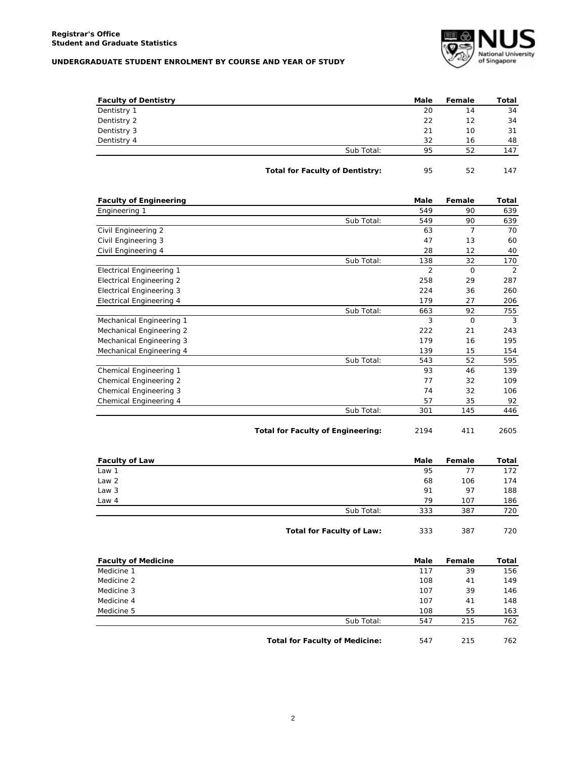## **UNDERGRADUATE STUDENT ENROLMENT BY COURSE AND YEAR OF STUDY**



| <b>Faculty of Dentistry</b> |                                        | Male | Female | Total |
|-----------------------------|----------------------------------------|------|--------|-------|
| Dentistry 1                 |                                        | 20   | 14     | 34    |
| Dentistry 2                 |                                        | 22   | 12     | 34    |
| Dentistry 3                 |                                        | 21   | 10     | 31    |
| Dentistry 4                 |                                        | 32   | 16     | 48    |
|                             | Sub Total:                             | 95   | 52     | 147   |
|                             | <b>Total for Faculty of Dentistry:</b> | 95   | 52     | 147   |

| <b>Faculty of Engineering</b>   |            | Male           | Female         | Total |
|---------------------------------|------------|----------------|----------------|-------|
| Engineering 1                   |            | 549            | 90             | 639   |
|                                 | Sub Total: | 549            | 90             | 639   |
| Civil Engineering 2             |            | 63             | $\overline{7}$ | 70    |
| Civil Engineering 3             |            | 47             | 13             | 60    |
| Civil Engineering 4             |            | 28             | 12             | 40    |
|                                 | Sub Total: | 138            | 32             | 170   |
| <b>Electrical Engineering 1</b> |            | $\overline{2}$ | $\Omega$       | 2     |
| <b>Electrical Engineering 2</b> |            | 258            | 29             | 287   |
| <b>Electrical Engineering 3</b> |            | 224            | 36             | 260   |
| <b>Electrical Engineering 4</b> |            | 179            | 27             | 206   |
|                                 | Sub Total: | 663            | 92             | 755   |
| Mechanical Engineering 1        |            | 3              | $\Omega$       | 3     |
| Mechanical Engineering 2        |            | 222            | 21             | 243   |
| Mechanical Engineering 3        |            | 179            | 16             | 195   |
| Mechanical Engineering 4        |            | 139            | 15             | 154   |
|                                 | Sub Total: | 543            | 52             | 595   |
| Chemical Engineering 1          |            | 93             | 46             | 139   |
| Chemical Engineering 2          |            | 77             | 32             | 109   |
| Chemical Engineering 3          |            | 74             | 32             | 106   |
| Chemical Engineering 4          |            | 57             | 35             | 92    |
|                                 | Sub Total: | 301            | 145            | 446   |

| 2194 | 411 | 2605 |
|------|-----|------|
|      |     |      |

|  | 411 | 26C |
|--|-----|-----|
|--|-----|-----|

| <b>Faculty of Law</b> |                           | Male | Female | Total |
|-----------------------|---------------------------|------|--------|-------|
| Law 1                 |                           | 95   | 77     | 172   |
| Law 2                 |                           | 68   | 106    | 174   |
| Law 3                 |                           | 91   | 97     | 188   |
| Law 4                 |                           | 79   | 107    | 186   |
|                       | Sub Total:                | 333  | 387    | 720   |
|                       | Total for Faculty of Law: | 333  | 387    | 720   |

| <b>Faculty of Medicine</b> |                                       | Male | Female | Total |
|----------------------------|---------------------------------------|------|--------|-------|
| Medicine 1                 |                                       | 117  | 39     | 156   |
| Medicine 2                 |                                       | 108  | 41     | 149   |
| Medicine 3                 |                                       | 107  | 39     | 146   |
| Medicine 4                 |                                       | 107  | 41     | 148   |
| Medicine 5                 |                                       | 108  | 55     | 163   |
|                            | Sub Total:                            | 547  | 215    | 762   |
|                            |                                       |      |        |       |
|                            | <b>Total for Faculty of Medicine:</b> | 547  | 215    | 762   |